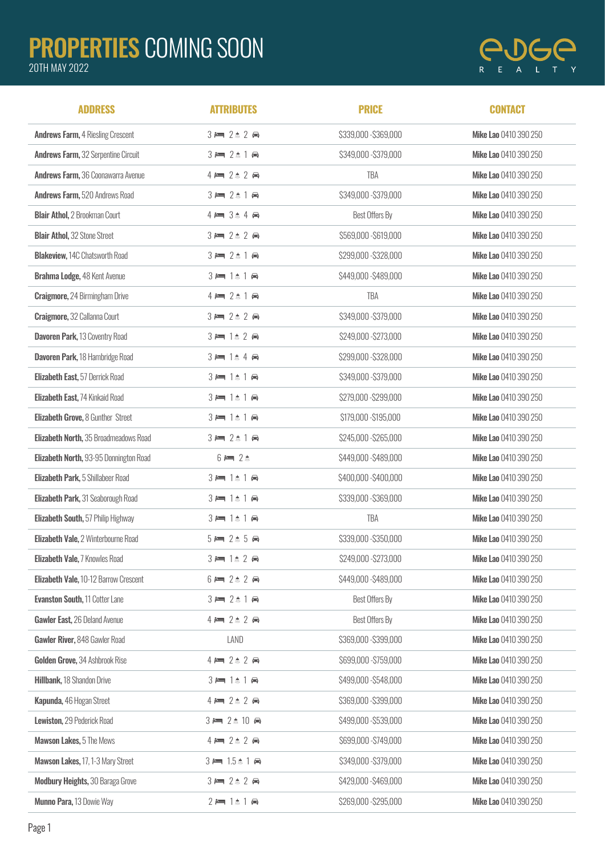## PROPERTIES COMING SOON

## 20TH MAY 2022



| <b>ADDRESS</b>                               | <b>ATTRIBUTES</b>                                    | <b>PRICE</b>          | <b>CONTACT</b>               |
|----------------------------------------------|------------------------------------------------------|-----------------------|------------------------------|
| <b>Andrews Farm, 4 Riesling Crescent</b>     | $3 = 2 \pm 2$                                        | \$339,000 - \$369,000 | Mike Lao 0410 390 250        |
| <b>Andrews Farm, 32 Serpentine Circuit</b>   | $3 = 2 \pm 1$                                        | \$349,000 - \$379,000 | Mike Lao 0410 390 250        |
| Andrews Farm, 36 Coonawarra Avenue           | $4 \rightleftharpoons 2 \quad 2 \rightleftharpoons$  | <b>TBA</b>            | Mike Lao 0410 390 250        |
| Andrews Farm, 520 Andrews Road               | $3 = 2 \pm 1$                                        | \$349,000 - \$379,000 | Mike Lao 0410 390 250        |
| <b>Blair Athol, 2 Brookman Court</b>         | $4 \rightleftharpoons 3 \qquad 4 \rightleftharpoons$ | Best Offers By        | Mike Lao 0410 390 250        |
| <b>Blair Athol, 32 Stone Street</b>          | $3 = 2 \pm 2$                                        | \$569,000 - \$619,000 | Mike Lao 0410 390 250        |
| <b>Blakeview, 14C Chatsworth Road</b>        | $3 = 2 \pm 1$                                        | \$299,000 - \$328,000 | Mike Lao 0410 390 250        |
| Brahma Lodge, 48 Kent Avenue                 | $3 = 1$ $\uparrow$ $\uparrow$ $\uparrow$             | \$449,000 - \$489,000 | Mike Lao 0410 390 250        |
| <b>Craigmore, 24 Birmingham Drive</b>        | $4 = 2 \pm 1$                                        | TBA                   | Mike Lao 0410 390 250        |
| Craigmore, 32 Callanna Court                 | $3 = 2 \pm 2$                                        | \$349,000 - \$379,000 | Mike Lao 0410 390 250        |
| Davoren Park, 13 Coventry Road               | $3 = 1$ $2$ $\ominus$                                | \$249,000 - \$273,000 | Mike Lao 0410 390 250        |
| Davoren Park, 18 Hambridge Road              | $3 = 1$ $4 \oplus$                                   | \$299,000 - \$328,000 | Mike Lao 0410 390 250        |
| Elizabeth East, 57 Derrick Road              | $3 = 1$ $\uparrow$ $\uparrow$ $\uparrow$             | \$349,000 - \$379,000 | Mike Lao 0410 390 250        |
| Elizabeth East, 74 Kinkaid Road              | $3 = 1$ $\uparrow$ 1 $\uparrow$                      | \$279,000 - \$299,000 | Mike Lao 0410 390 250        |
| Elizabeth Grove, 8 Gunther Street            | $3 = 1$ $\uparrow$ 1 $\uparrow$                      | \$179,000 - \$195,000 | Mike Lao 0410 390 250        |
| Elizabeth North, 35 Broadmeadows Road        | $3 = 2 \pm 1$                                        | \$245,000 - \$265,000 | Mike Lao 0410 390 250        |
| Elizabeth North, 93-95 Donnington Road       | $6 = 2$ $*$                                          | \$449,000 - \$489,000 | Mike Lao 0410 390 250        |
| Elizabeth Park, 5 Shillabeer Road            | $3 = 1$ $\uparrow$ 1 $\uparrow$                      | \$400,000 - \$400,000 | Mike Lao 0410 390 250        |
| Elizabeth Park, 31 Seaborough Road           | $3 = 1$ $\uparrow$ 1 $\uparrow$                      | \$339,000 - \$369,000 | Mike Lao 0410 390 250        |
| Elizabeth South, 57 Philip Highway           | $3 = 1$ $\pm$ 1 $\oplus$                             | TBA                   | Mike Lao 0410 390 250        |
| Elizabeth Vale, 2 Winterbourne Road          | $5 = 2 \pm 5$                                        | \$339,000 - \$350,000 | Mike Lao 0410 390 250        |
| Elizabeth Vale, 7 Knowles Road               | $3 = 1$ $2$ $\oplus$                                 | \$249,000 - \$273,000 | Mike Lao 0410 390 250        |
| <b>Elizabeth Vale, 10-12 Barrow Crescent</b> | $6 = 2 \pm 2$                                        | \$449,000 - \$489,000 | Mike Lao 0410 390 250        |
| <b>Evanston South, 11 Cotter Lane</b>        | $3 = 2 \pm 1$                                        | Best Offers By        | Mike Lao 0410 390 250        |
| Gawler East, 26 Deland Avenue                | $4 \rightleftharpoons 2 \qquad 2 \rightleftharpoons$ | Best Offers By        | Mike Lao 0410 390 250        |
| Gawler River, 848 Gawler Road                | LAND                                                 | \$369,000 - \$399,000 | Mike Lao 0410 390 250        |
| Golden Grove, 34 Ashbrook Rise               | $4 = 2 \pm 2$                                        | \$699,000 - \$759,000 | Mike Lao 0410 390 250        |
| Hillbank, 18 Shandon Drive                   | $3 = 1 \pm 1$ a                                      | \$499,000 - \$548,000 | Mike Lao 0410 390 250        |
| Kapunda, 46 Hogan Street                     | $4 = 2 \pm 2$                                        | \$369,000 - \$399,000 | Mike Lao 0410 390 250        |
| Lewiston, 29 Pederick Road                   | $3 = 2 \pm 10$                                       | \$499,000 - \$539,000 | Mike Lao 0410 390 250        |
| Mawson Lakes, 5 The Mews                     | $4 = 2 \pm 2$                                        | \$699,000 - \$749,000 | Mike Lao 0410 390 250        |
| Mawson Lakes, 17, 1-3 Mary Street            | $3 = 1.5 \pm 1$ a                                    | \$349,000 - \$379,000 | Mike Lao 0410 390 250        |
| <b>Modbury Heights, 30 Baraga Grove</b>      | $3 = 2 \pm 2$                                        | \$429,000 - \$469,000 | <b>Mike Lao 0410 390 250</b> |
| Munno Para, 13 Dowie Way                     | $2 = 1 \pm 1$ $\oplus$                               | \$269,000 - \$295,000 | Mike Lao 0410 390 250        |